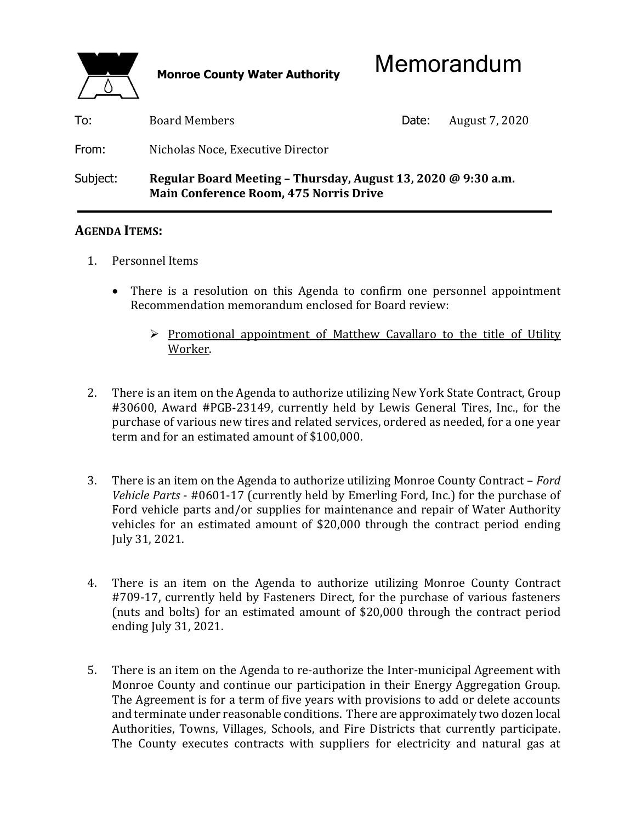

| To:      | <b>Board Members</b>                                                                                           | Date: | August 7, 2020 |
|----------|----------------------------------------------------------------------------------------------------------------|-------|----------------|
| From:    | Nicholas Noce, Executive Director                                                                              |       |                |
| Subject: | Regular Board Meeting - Thursday, August 13, 2020 @ 9:30 a.m.<br><b>Main Conference Room, 475 Norris Drive</b> |       |                |

## **AGENDA ITEMS:**

- 1. Personnel Items
	- There is a resolution on this Agenda to confirm one personnel appointment Recommendation memorandum enclosed for Board review:
		- $\triangleright$  Promotional appointment of Matthew Cavallaro to the title of Utility Worker.
- 2. There is an item on the Agenda to authorize utilizing New York State Contract, Group #30600, Award #PGB-23149, currently held by Lewis General Tires, Inc., for the purchase of various new tires and related services, ordered as needed, for a one year term and for an estimated amount of \$100,000.
- 3. There is an item on the Agenda to authorize utilizing Monroe County Contract *Ford Vehicle Parts* - #0601-17 (currently held by Emerling Ford, Inc.) for the purchase of Ford vehicle parts and/or supplies for maintenance and repair of Water Authority vehicles for an estimated amount of \$20,000 through the contract period ending July 31, 2021.
- 4. There is an item on the Agenda to authorize utilizing Monroe County Contract #709-17, currently held by Fasteners Direct, for the purchase of various fasteners (nuts and bolts) for an estimated amount of \$20,000 through the contract period ending July 31, 2021.
- 5. There is an item on the Agenda to re-authorize the Inter-municipal Agreement with Monroe County and continue our participation in their Energy Aggregation Group. The Agreement is for a term of five years with provisions to add or delete accounts and terminate under reasonable conditions. There are approximately two dozen local Authorities, Towns, Villages, Schools, and Fire Districts that currently participate. The County executes contracts with suppliers for electricity and natural gas at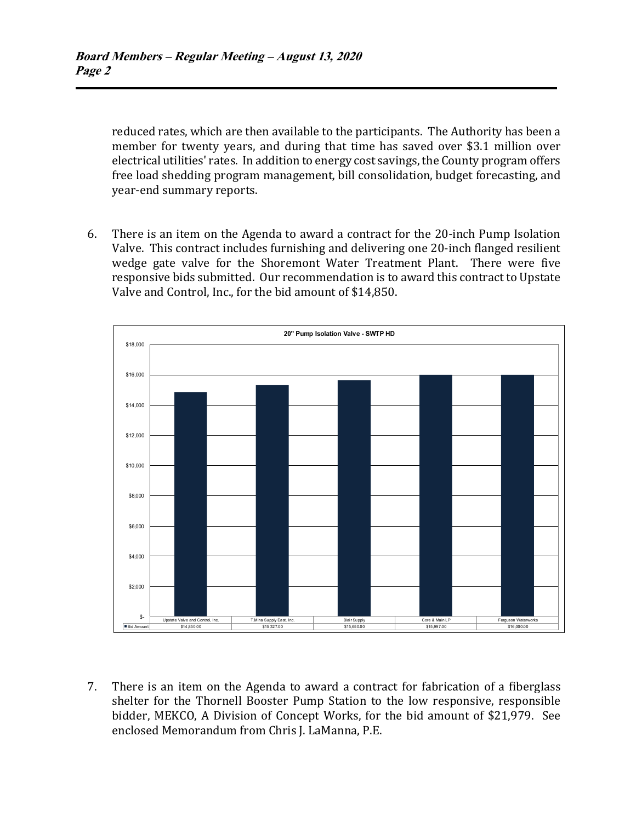reduced rates, which are then available to the participants. The Authority has been a member for twenty years, and during that time has saved over \$3.1 million over electrical utilities' rates. In addition to energy cost savings, the County program offers free load shedding program management, bill consolidation, budget forecasting, and year-end summary reports.

 6. There is an item on the Agenda to award a contract for the 20-inch Pump Isolation Valve. This contract includes furnishing and delivering one 20-inch flanged resilient wedge gate valve for the Shoremont Water Treatment Plant. There were five responsive bids submitted. Our recommendation is to award this contract to Upstate Valve and Control, Inc., for the bid amount of \$14,850.



 7. There is an item on the Agenda to award a contract for fabrication of a fiberglass shelter for the Thornell Booster Pump Station to the low responsive, responsible bidder, MEKCO, A Division of Concept Works, for the bid amount of \$21,979. See enclosed Memorandum from Chris J. LaManna, P.E.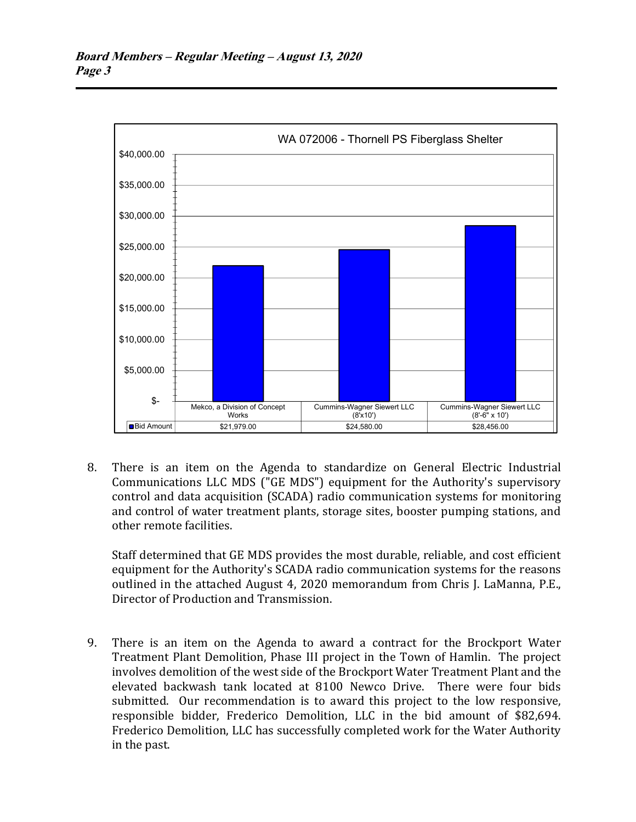

 8. There is an item on the Agenda to standardize on General Electric Industrial Communications LLC MDS ("GE MDS") equipment for the Authority's supervisory control and data acquisition (SCADA) radio communication systems for monitoring and control of water treatment plants, storage sites, booster pumping stations, and other remote facilities.

 Staff determined that GE MDS provides the most durable, reliable, and cost efficient equipment for the Authority's SCADA radio communication systems for the reasons outlined in the attached August 4, 2020 memorandum from Chris J. LaManna, P.E., Director of Production and Transmission.

 9. There is an item on the Agenda to award a contract for the Brockport Water Treatment Plant Demolition, Phase III project in the Town of Hamlin. The project involves demolition of the west side of the Brockport Water Treatment Plant and the elevated backwash tank located at 8100 Newco Drive. There were four bids submitted. Our recommendation is to award this project to the low responsive, responsible bidder, Frederico Demolition, LLC in the bid amount of \$82,694. Frederico Demolition, LLC has successfully completed work for the Water Authority in the past.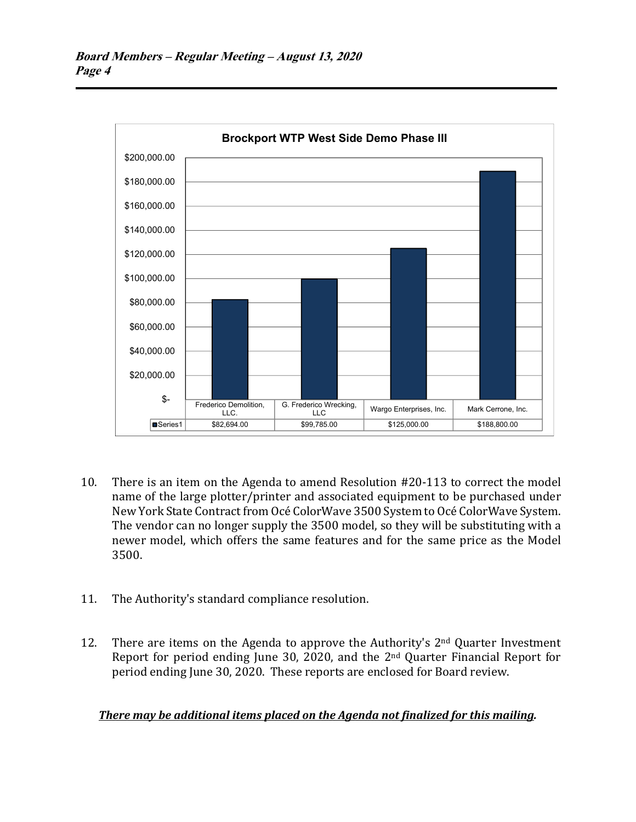

- 10. There is an item on the Agenda to amend Resolution #20-113 to correct the model name of the large plotter/printer and associated equipment to be purchased under New York State Contract from Océ ColorWave 3500 System to Océ ColorWave System. The vendor can no longer supply the 3500 model, so they will be substituting with a newer model, which offers the same features and for the same price as the Model 3500.
- 11. The Authority's standard compliance resolution.
- 12. There are items on the Agenda to approve the Authority's  $2<sup>nd</sup>$  Quarter Investment Report for period ending June 30, 2020, and the 2nd Quarter Financial Report for period ending June 30, 2020. These reports are enclosed for Board review.

## *There may be additional items placed on the Agenda not finalized for this mailing.*